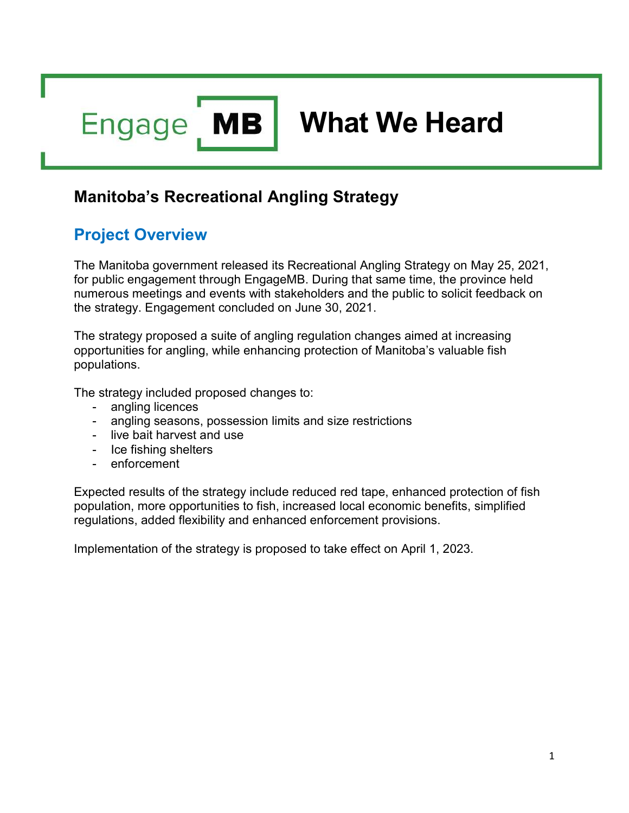**MB Engage** 

# What We Heard

### Manitoba's Recreational Angling Strategy

# Project Overview

The Manitoba government released its Recreational Angling Strategy on May 25, 2021, for public engagement through EngageMB. During that same time, the province held numerous meetings and events with stakeholders and the public to solicit feedback on the strategy. Engagement concluded on June 30, 2021.

The strategy proposed a suite of angling regulation changes aimed at increasing opportunities for angling, while enhancing protection of Manitoba's valuable fish populations.

The strategy included proposed changes to:

- angling licences
- angling seasons, possession limits and size restrictions
- live bait harvest and use
- Ice fishing shelters
- enforcement

Expected results of the strategy include reduced red tape, enhanced protection of fish population, more opportunities to fish, increased local economic benefits, simplified regulations, added flexibility and enhanced enforcement provisions.

Implementation of the strategy is proposed to take effect on April 1, 2023.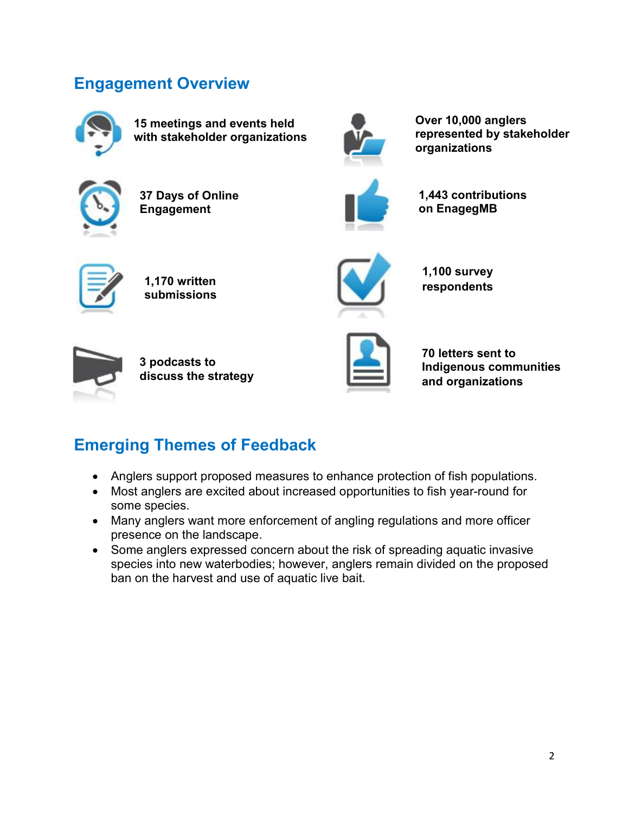### Engagement Overview



15 meetings and events held with stakeholder organizations



37 Days of Online Engagement



Over 10,000 anglers represented by stakeholder organizations



1,443 contributions on EnagegMB



1,170 written submissions



1,100 survey respondents



3 podcasts to discuss the strategy



70 letters sent to Indigenous communities and organizations

# Emerging Themes of Feedback

- Anglers support proposed measures to enhance protection of fish populations.
- Most anglers are excited about increased opportunities to fish year-round for some species.
- Many anglers want more enforcement of angling regulations and more officer presence on the landscape.
- Some anglers expressed concern about the risk of spreading aquatic invasive species into new waterbodies; however, anglers remain divided on the proposed ban on the harvest and use of aquatic live bait.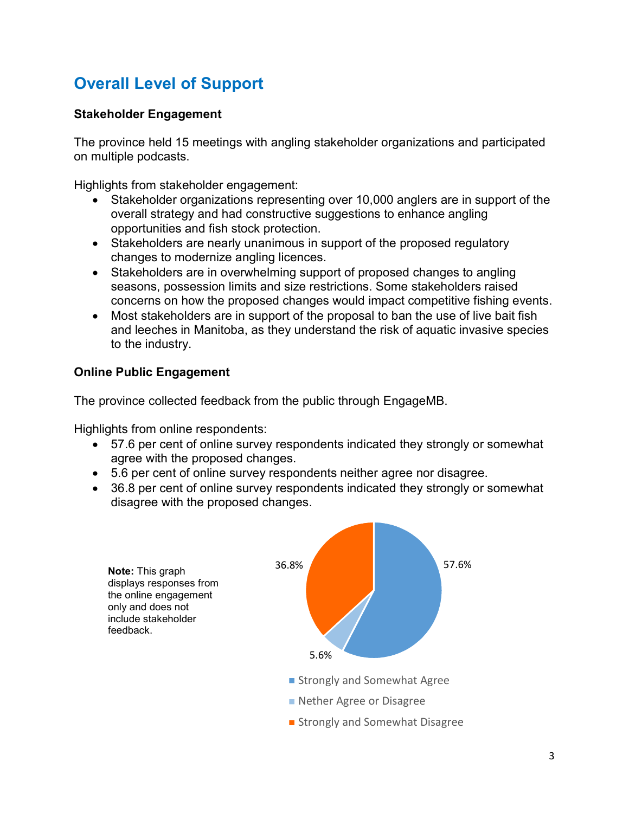# Overall Level of Support

### Stakeholder Engagement

The province held 15 meetings with angling stakeholder organizations and participated on multiple podcasts.

Highlights from stakeholder engagement:

- Stakeholder organizations representing over 10,000 anglers are in support of the overall strategy and had constructive suggestions to enhance angling opportunities and fish stock protection.
- Stakeholders are nearly unanimous in support of the proposed regulatory changes to modernize angling licences.
- Stakeholders are in overwhelming support of proposed changes to angling seasons, possession limits and size restrictions. Some stakeholders raised concerns on how the proposed changes would impact competitive fishing events.
- Most stakeholders are in support of the proposal to ban the use of live bait fish and leeches in Manitoba, as they understand the risk of aquatic invasive species to the industry.

### Online Public Engagement

The province collected feedback from the public through EngageMB.

Highlights from online respondents:

- 57.6 per cent of online survey respondents indicated they strongly or somewhat agree with the proposed changes.
- 5.6 per cent of online survey respondents neither agree nor disagree.
- 36.8 per cent of online survey respondents indicated they strongly or somewhat disagree with the proposed changes.

Note: This graph displays responses from the online engagement only and does not include stakeholder feedback.



**Strongly and Somewhat Disagree**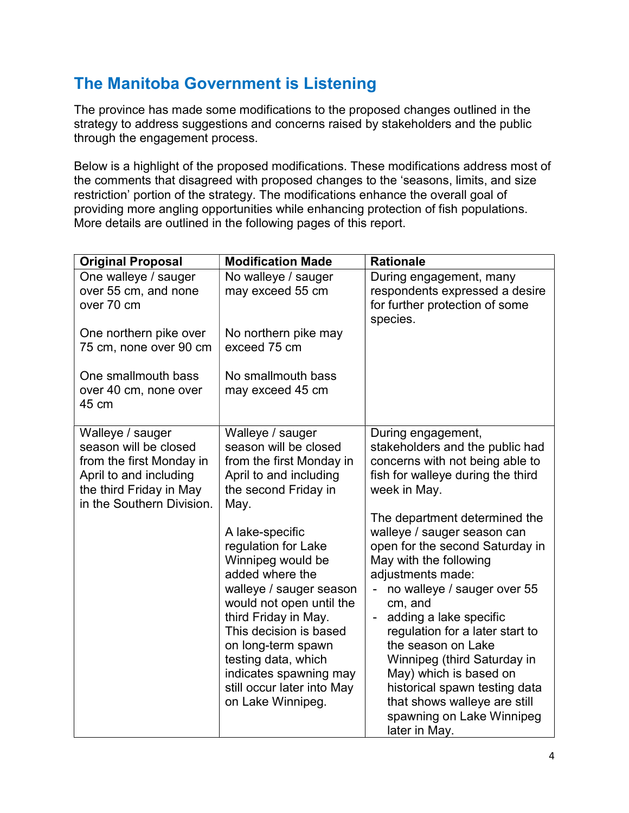### The Manitoba Government is Listening

The province has made some modifications to the proposed changes outlined in the strategy to address suggestions and concerns raised by stakeholders and the public through the engagement process.

Below is a highlight of the proposed modifications. These modifications address most of the comments that disagreed with proposed changes to the 'seasons, limits, and size restriction' portion of the strategy. The modifications enhance the overall goal of providing more angling opportunities while enhancing protection of fish populations. More details are outlined in the following pages of this report.

| <b>Original Proposal</b>                                                                                                                                | <b>Modification Made</b>                                                                                                                                                                                                                                                                                                                                                                                                                             | <b>Rationale</b>                                                                                                                                                                                                                                                                                                                                                                                                                                                                                                                                                                                                    |
|---------------------------------------------------------------------------------------------------------------------------------------------------------|------------------------------------------------------------------------------------------------------------------------------------------------------------------------------------------------------------------------------------------------------------------------------------------------------------------------------------------------------------------------------------------------------------------------------------------------------|---------------------------------------------------------------------------------------------------------------------------------------------------------------------------------------------------------------------------------------------------------------------------------------------------------------------------------------------------------------------------------------------------------------------------------------------------------------------------------------------------------------------------------------------------------------------------------------------------------------------|
| One walleye / sauger<br>over 55 cm, and none<br>over 70 cm                                                                                              | No walleye / sauger<br>may exceed 55 cm                                                                                                                                                                                                                                                                                                                                                                                                              | During engagement, many<br>respondents expressed a desire<br>for further protection of some<br>species.                                                                                                                                                                                                                                                                                                                                                                                                                                                                                                             |
| One northern pike over<br>75 cm, none over 90 cm                                                                                                        | No northern pike may<br>exceed 75 cm                                                                                                                                                                                                                                                                                                                                                                                                                 |                                                                                                                                                                                                                                                                                                                                                                                                                                                                                                                                                                                                                     |
| One smallmouth bass<br>over 40 cm, none over<br>45 cm                                                                                                   | No smallmouth bass<br>may exceed 45 cm                                                                                                                                                                                                                                                                                                                                                                                                               |                                                                                                                                                                                                                                                                                                                                                                                                                                                                                                                                                                                                                     |
| Walleye / sauger<br>season will be closed<br>from the first Monday in<br>April to and including<br>the third Friday in May<br>in the Southern Division. | Walleye / sauger<br>season will be closed<br>from the first Monday in<br>April to and including<br>the second Friday in<br>May.<br>A lake-specific<br>regulation for Lake<br>Winnipeg would be<br>added where the<br>walleye / sauger season<br>would not open until the<br>third Friday in May.<br>This decision is based<br>on long-term spawn<br>testing data, which<br>indicates spawning may<br>still occur later into May<br>on Lake Winnipeg. | During engagement,<br>stakeholders and the public had<br>concerns with not being able to<br>fish for walleye during the third<br>week in May.<br>The department determined the<br>walleye / sauger season can<br>open for the second Saturday in<br>May with the following<br>adjustments made:<br>no walleye / sauger over 55<br>cm, and<br>adding a lake specific<br>$\qquad \qquad \blacksquare$<br>regulation for a later start to<br>the season on Lake<br>Winnipeg (third Saturday in<br>May) which is based on<br>historical spawn testing data<br>that shows walleye are still<br>spawning on Lake Winnipeg |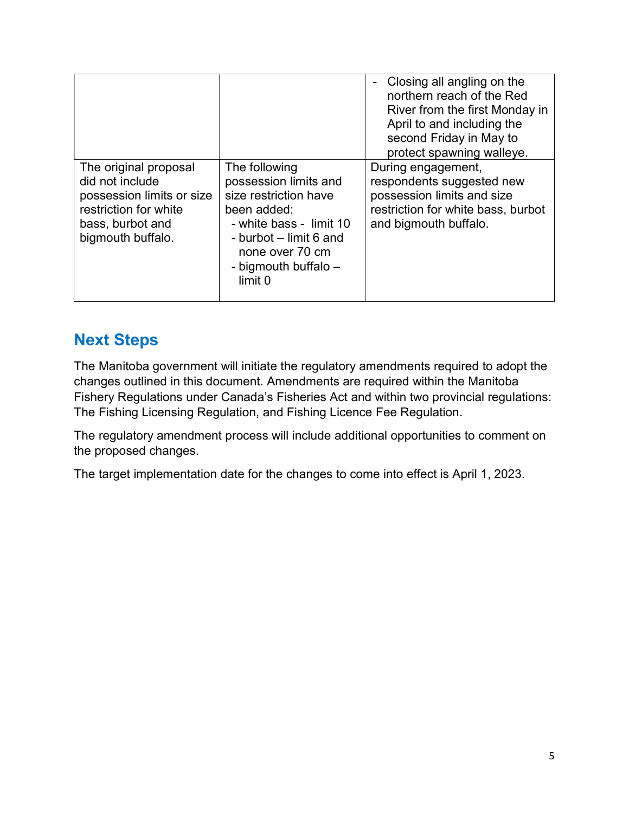|                                                                                                                                         |                                                                                                                                                                                           | Closing all angling on the<br>northern reach of the Red<br>River from the first Monday in<br>April to and including the<br>second Friday in May to<br>protect spawning walleye. |
|-----------------------------------------------------------------------------------------------------------------------------------------|-------------------------------------------------------------------------------------------------------------------------------------------------------------------------------------------|---------------------------------------------------------------------------------------------------------------------------------------------------------------------------------|
| The original proposal<br>did not include<br>possession limits or size<br>restriction for white<br>bass, burbot and<br>bigmouth buffalo. | The following<br>possession limits and<br>size restriction have<br>been added:<br>- white bass - limit 10<br>- burbot – limit 6 and<br>none over 70 cm<br>- bigmouth buffalo -<br>limit 0 | During engagement,<br>respondents suggested new<br>possession limits and size<br>restriction for white bass, burbot<br>and bigmouth buffalo.                                    |

### Next Steps

The Manitoba government will initiate the regulatory amendments required to adopt the changes outlined in this document. Amendments are required within the Manitoba Fishery Regulations under Canada's Fisheries Act and within two provincial regulations: The Fishing Licensing Regulation, and Fishing Licence Fee Regulation.

The regulatory amendment process will include additional opportunities to comment on the proposed changes.

The target implementation date for the changes to come into effect is April 1, 2023.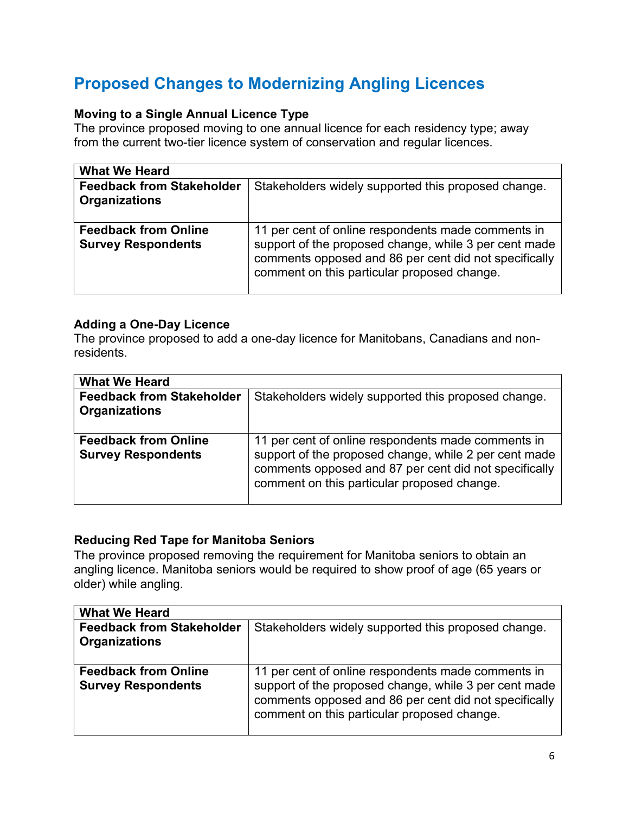## Proposed Changes to Modernizing Angling Licences

### Moving to a Single Annual Licence Type

The province proposed moving to one annual licence for each residency type; away from the current two-tier licence system of conservation and regular licences.

| <b>What We Heard</b>                                     |                                                                                                                                                                                                                     |
|----------------------------------------------------------|---------------------------------------------------------------------------------------------------------------------------------------------------------------------------------------------------------------------|
| <b>Feedback from Stakeholder</b><br><b>Organizations</b> | Stakeholders widely supported this proposed change.                                                                                                                                                                 |
| <b>Feedback from Online</b><br><b>Survey Respondents</b> | 11 per cent of online respondents made comments in<br>support of the proposed change, while 3 per cent made<br>comments opposed and 86 per cent did not specifically<br>comment on this particular proposed change. |

#### Adding a One-Day Licence

The province proposed to add a one-day licence for Manitobans, Canadians and nonresidents.

| <b>What We Heard</b>                                     |                                                                                                                                                                                                                     |  |
|----------------------------------------------------------|---------------------------------------------------------------------------------------------------------------------------------------------------------------------------------------------------------------------|--|
| <b>Feedback from Stakeholder</b><br><b>Organizations</b> | Stakeholders widely supported this proposed change.                                                                                                                                                                 |  |
| <b>Feedback from Online</b><br><b>Survey Respondents</b> | 11 per cent of online respondents made comments in<br>support of the proposed change, while 2 per cent made<br>comments opposed and 87 per cent did not specifically<br>comment on this particular proposed change. |  |

#### Reducing Red Tape for Manitoba Seniors

The province proposed removing the requirement for Manitoba seniors to obtain an angling licence. Manitoba seniors would be required to show proof of age (65 years or older) while angling.

| <b>What We Heard</b>                                     |                                                                                                                                                                                                                     |
|----------------------------------------------------------|---------------------------------------------------------------------------------------------------------------------------------------------------------------------------------------------------------------------|
| <b>Feedback from Stakeholder</b><br><b>Organizations</b> | Stakeholders widely supported this proposed change.                                                                                                                                                                 |
| <b>Feedback from Online</b><br><b>Survey Respondents</b> | 11 per cent of online respondents made comments in<br>support of the proposed change, while 3 per cent made<br>comments opposed and 86 per cent did not specifically<br>comment on this particular proposed change. |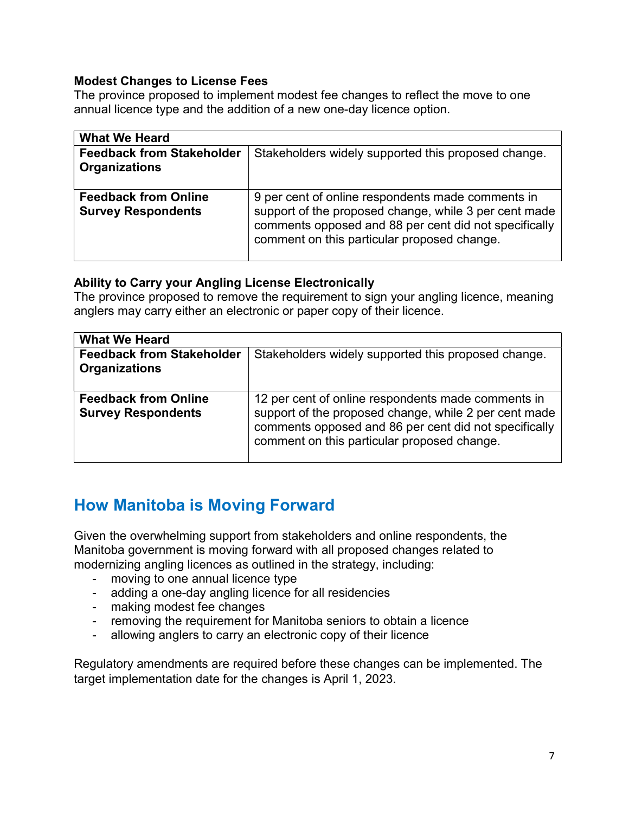#### Modest Changes to License Fees

The province proposed to implement modest fee changes to reflect the move to one annual licence type and the addition of a new one-day licence option.

| <b>What We Heard</b>                                     |                                                                                                                                                                                                                    |
|----------------------------------------------------------|--------------------------------------------------------------------------------------------------------------------------------------------------------------------------------------------------------------------|
| <b>Feedback from Stakeholder</b><br><b>Organizations</b> | Stakeholders widely supported this proposed change.                                                                                                                                                                |
| <b>Feedback from Online</b><br><b>Survey Respondents</b> | 9 per cent of online respondents made comments in<br>support of the proposed change, while 3 per cent made<br>comments opposed and 88 per cent did not specifically<br>comment on this particular proposed change. |

#### Ability to Carry your Angling License Electronically

The province proposed to remove the requirement to sign your angling licence, meaning anglers may carry either an electronic or paper copy of their licence.

| <b>What We Heard</b>                                     |                                                                                                                                                                                                                     |
|----------------------------------------------------------|---------------------------------------------------------------------------------------------------------------------------------------------------------------------------------------------------------------------|
| <b>Feedback from Stakeholder</b><br><b>Organizations</b> | Stakeholders widely supported this proposed change.                                                                                                                                                                 |
| <b>Feedback from Online</b><br><b>Survey Respondents</b> | 12 per cent of online respondents made comments in<br>support of the proposed change, while 2 per cent made<br>comments opposed and 86 per cent did not specifically<br>comment on this particular proposed change. |

### How Manitoba is Moving Forward

Given the overwhelming support from stakeholders and online respondents, the Manitoba government is moving forward with all proposed changes related to modernizing angling licences as outlined in the strategy, including:

- moving to one annual licence type
- adding a one-day angling licence for all residencies
- making modest fee changes
- removing the requirement for Manitoba seniors to obtain a licence
- allowing anglers to carry an electronic copy of their licence

Regulatory amendments are required before these changes can be implemented. The target implementation date for the changes is April 1, 2023.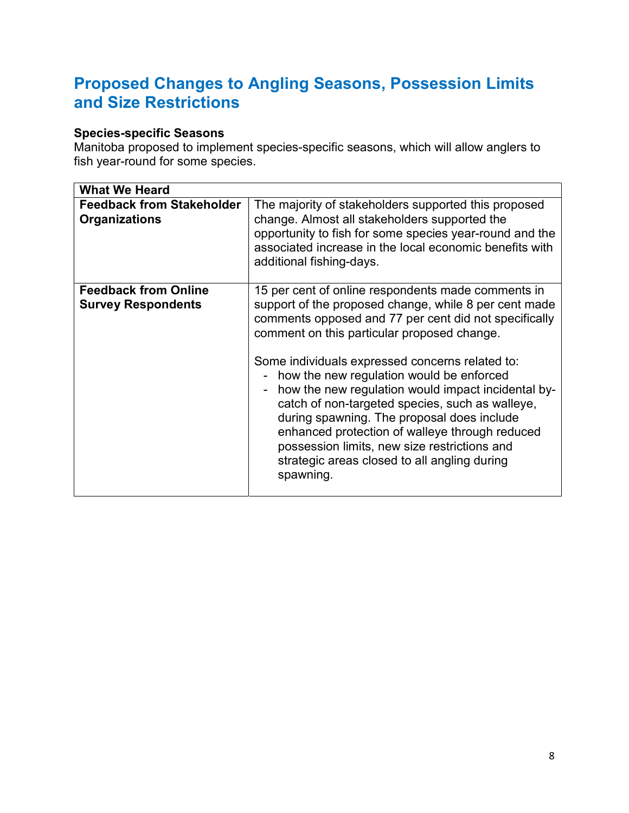### Proposed Changes to Angling Seasons, Possession Limits and Size Restrictions

#### Species-specific Seasons

Manitoba proposed to implement species-specific seasons, which will allow anglers to fish year-round for some species.

| <b>What We Heard</b>                                     |                                                                                                                                                                                                                                                                                                                                                                                                                                                                                                                                                                                                                                                                        |
|----------------------------------------------------------|------------------------------------------------------------------------------------------------------------------------------------------------------------------------------------------------------------------------------------------------------------------------------------------------------------------------------------------------------------------------------------------------------------------------------------------------------------------------------------------------------------------------------------------------------------------------------------------------------------------------------------------------------------------------|
| <b>Feedback from Stakeholder</b><br><b>Organizations</b> | The majority of stakeholders supported this proposed<br>change. Almost all stakeholders supported the<br>opportunity to fish for some species year-round and the<br>associated increase in the local economic benefits with<br>additional fishing-days.                                                                                                                                                                                                                                                                                                                                                                                                                |
| <b>Feedback from Online</b><br><b>Survey Respondents</b> | 15 per cent of online respondents made comments in<br>support of the proposed change, while 8 per cent made<br>comments opposed and 77 per cent did not specifically<br>comment on this particular proposed change.<br>Some individuals expressed concerns related to:<br>- how the new regulation would be enforced<br>how the new regulation would impact incidental by-<br>$\overline{\phantom{0}}$<br>catch of non-targeted species, such as walleye,<br>during spawning. The proposal does include<br>enhanced protection of walleye through reduced<br>possession limits, new size restrictions and<br>strategic areas closed to all angling during<br>spawning. |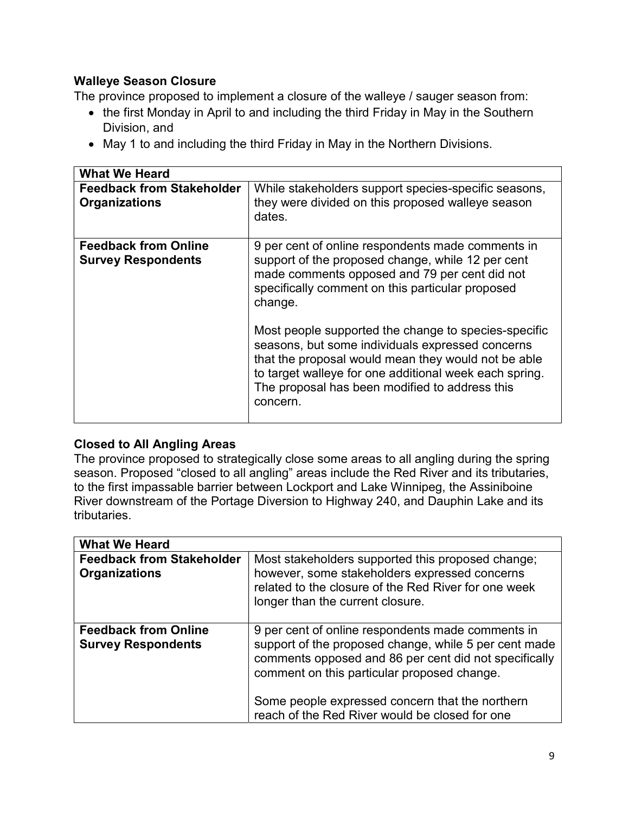#### Walleye Season Closure

The province proposed to implement a closure of the walleye / sauger season from:

- the first Monday in April to and including the third Friday in May in the Southern Division, and
- May 1 to and including the third Friday in May in the Northern Divisions.

| <b>What We Heard</b>                                     |                                                                                                                                                                                                                                                                                                                                                                                                                                                                                                                   |
|----------------------------------------------------------|-------------------------------------------------------------------------------------------------------------------------------------------------------------------------------------------------------------------------------------------------------------------------------------------------------------------------------------------------------------------------------------------------------------------------------------------------------------------------------------------------------------------|
| <b>Feedback from Stakeholder</b><br><b>Organizations</b> | While stakeholders support species-specific seasons,<br>they were divided on this proposed walleye season<br>dates.                                                                                                                                                                                                                                                                                                                                                                                               |
| <b>Feedback from Online</b><br><b>Survey Respondents</b> | 9 per cent of online respondents made comments in<br>support of the proposed change, while 12 per cent<br>made comments opposed and 79 per cent did not<br>specifically comment on this particular proposed<br>change.<br>Most people supported the change to species-specific<br>seasons, but some individuals expressed concerns<br>that the proposal would mean they would not be able<br>to target walleye for one additional week each spring.<br>The proposal has been modified to address this<br>concern. |

#### Closed to All Angling Areas

The province proposed to strategically close some areas to all angling during the spring season. Proposed "closed to all angling" areas include the Red River and its tributaries, to the first impassable barrier between Lockport and Lake Winnipeg, the Assiniboine River downstream of the Portage Diversion to Highway 240, and Dauphin Lake and its tributaries.

| <b>What We Heard</b>                                     |                                                                                                                                                                                                                                                                                                                         |
|----------------------------------------------------------|-------------------------------------------------------------------------------------------------------------------------------------------------------------------------------------------------------------------------------------------------------------------------------------------------------------------------|
| <b>Feedback from Stakeholder</b><br><b>Organizations</b> | Most stakeholders supported this proposed change;<br>however, some stakeholders expressed concerns<br>related to the closure of the Red River for one week<br>longer than the current closure.                                                                                                                          |
| <b>Feedback from Online</b><br><b>Survey Respondents</b> | 9 per cent of online respondents made comments in<br>support of the proposed change, while 5 per cent made<br>comments opposed and 86 per cent did not specifically<br>comment on this particular proposed change.<br>Some people expressed concern that the northern<br>reach of the Red River would be closed for one |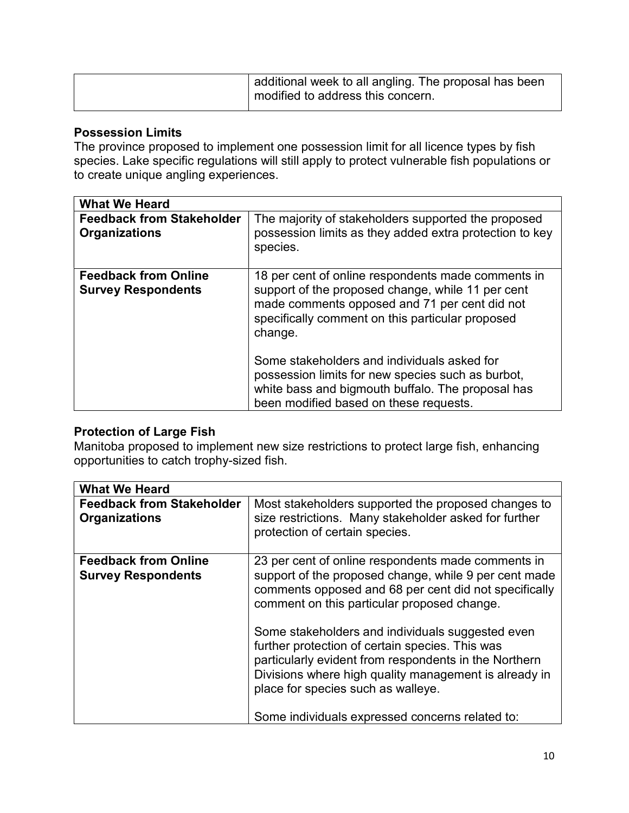| additional week to all angling. The proposal has been<br>modified to address this concern. |
|--------------------------------------------------------------------------------------------|
|                                                                                            |

#### Possession Limits

The province proposed to implement one possession limit for all licence types by fish species. Lake specific regulations will still apply to protect vulnerable fish populations or to create unique angling experiences.

| <b>What We Heard</b>                                     |                                                                                                                                                                                                                         |
|----------------------------------------------------------|-------------------------------------------------------------------------------------------------------------------------------------------------------------------------------------------------------------------------|
| <b>Feedback from Stakeholder</b><br><b>Organizations</b> | The majority of stakeholders supported the proposed<br>possession limits as they added extra protection to key<br>species.                                                                                              |
| <b>Feedback from Online</b><br><b>Survey Respondents</b> | 18 per cent of online respondents made comments in<br>support of the proposed change, while 11 per cent<br>made comments opposed and 71 per cent did not<br>specifically comment on this particular proposed<br>change. |
|                                                          | Some stakeholders and individuals asked for<br>possession limits for new species such as burbot,<br>white bass and bigmouth buffalo. The proposal has<br>been modified based on these requests.                         |

#### Protection of Large Fish

Manitoba proposed to implement new size restrictions to protect large fish, enhancing opportunities to catch trophy-sized fish.

| <b>What We Heard</b>                                     |                                                                                                                                                                                                                                                                                                                                                                                     |
|----------------------------------------------------------|-------------------------------------------------------------------------------------------------------------------------------------------------------------------------------------------------------------------------------------------------------------------------------------------------------------------------------------------------------------------------------------|
| <b>Feedback from Stakeholder</b><br><b>Organizations</b> | Most stakeholders supported the proposed changes to<br>size restrictions. Many stakeholder asked for further<br>protection of certain species.                                                                                                                                                                                                                                      |
| <b>Feedback from Online</b><br><b>Survey Respondents</b> | 23 per cent of online respondents made comments in<br>support of the proposed change, while 9 per cent made<br>comments opposed and 68 per cent did not specifically<br>comment on this particular proposed change.<br>Some stakeholders and individuals suggested even<br>further protection of certain species. This was<br>particularly evident from respondents in the Northern |
|                                                          | Divisions where high quality management is already in<br>place for species such as walleye.<br>Some individuals expressed concerns related to:                                                                                                                                                                                                                                      |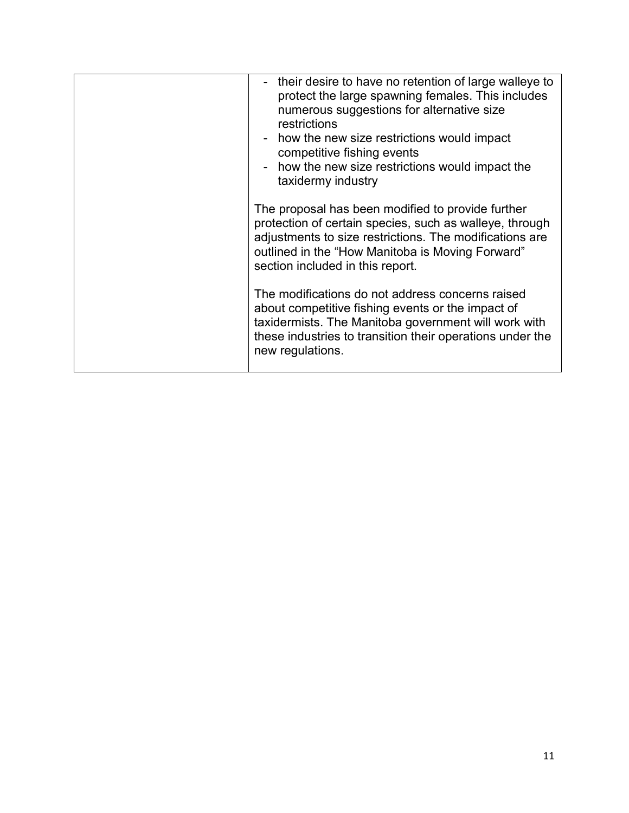| - their desire to have no retention of large walleye to<br>protect the large spawning females. This includes<br>numerous suggestions for alternative size<br>restrictions<br>- how the new size restrictions would impact<br>competitive fishing events<br>- how the new size restrictions would impact the<br>taxidermy industry |
|-----------------------------------------------------------------------------------------------------------------------------------------------------------------------------------------------------------------------------------------------------------------------------------------------------------------------------------|
| The proposal has been modified to provide further<br>protection of certain species, such as walleye, through<br>adjustments to size restrictions. The modifications are<br>outlined in the "How Manitoba is Moving Forward"<br>section included in this report.                                                                   |
| The modifications do not address concerns raised<br>about competitive fishing events or the impact of<br>taxidermists. The Manitoba government will work with<br>these industries to transition their operations under the<br>new regulations.                                                                                    |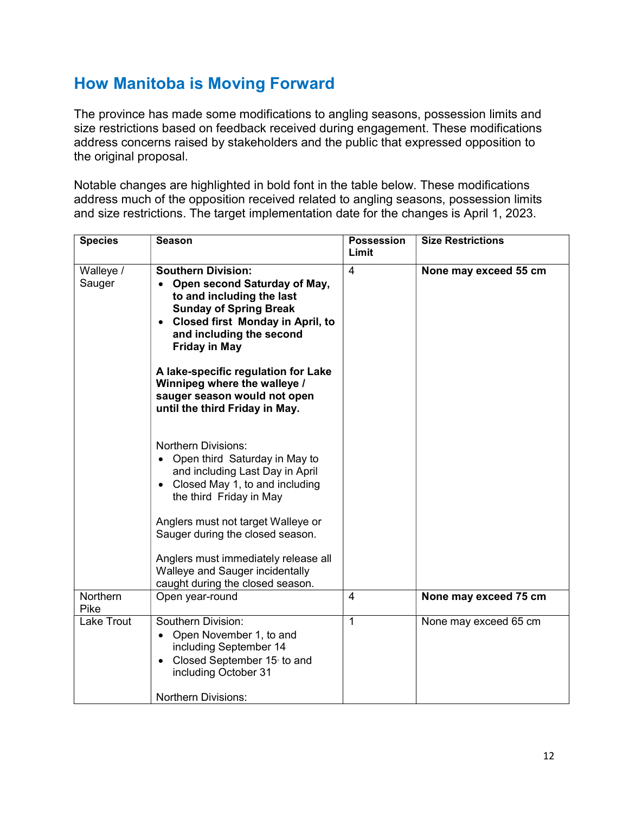### How Manitoba is Moving Forward

The province has made some modifications to angling seasons, possession limits and size restrictions based on feedback received during engagement. These modifications address concerns raised by stakeholders and the public that expressed opposition to the original proposal.

Notable changes are highlighted in bold font in the table below. These modifications address much of the opposition received related to angling seasons, possession limits and size restrictions. The target implementation date for the changes is April 1, 2023.

| <b>Species</b>            | <b>Season</b>                                                                                                                                                                                                                                                                                                                                                                                                                                                                                                                                                                                                                                                                                                           | <b>Possession</b><br>Limit | <b>Size Restrictions</b> |
|---------------------------|-------------------------------------------------------------------------------------------------------------------------------------------------------------------------------------------------------------------------------------------------------------------------------------------------------------------------------------------------------------------------------------------------------------------------------------------------------------------------------------------------------------------------------------------------------------------------------------------------------------------------------------------------------------------------------------------------------------------------|----------------------------|--------------------------|
| Walleye /<br>Sauger       | <b>Southern Division:</b><br>Open second Saturday of May,<br>to and including the last<br><b>Sunday of Spring Break</b><br><b>Closed first Monday in April, to</b><br>and including the second<br><b>Friday in May</b><br>A lake-specific regulation for Lake<br>Winnipeg where the walleye /<br>sauger season would not open<br>until the third Friday in May.<br><b>Northern Divisions:</b><br>Open third Saturday in May to<br>and including Last Day in April<br>Closed May 1, to and including<br>the third Friday in May<br>Anglers must not target Walleye or<br>Sauger during the closed season.<br>Anglers must immediately release all<br>Walleye and Sauger incidentally<br>caught during the closed season. | $\overline{4}$             | None may exceed 55 cm    |
| Northern                  | Open year-round                                                                                                                                                                                                                                                                                                                                                                                                                                                                                                                                                                                                                                                                                                         | $\overline{4}$             | None may exceed 75 cm    |
| Pike<br><b>Lake Trout</b> | Southern Division:<br>Open November 1, to and<br>including September 14<br>Closed September 15 to and<br>including October 31<br><b>Northern Divisions:</b>                                                                                                                                                                                                                                                                                                                                                                                                                                                                                                                                                             | 1                          | None may exceed 65 cm    |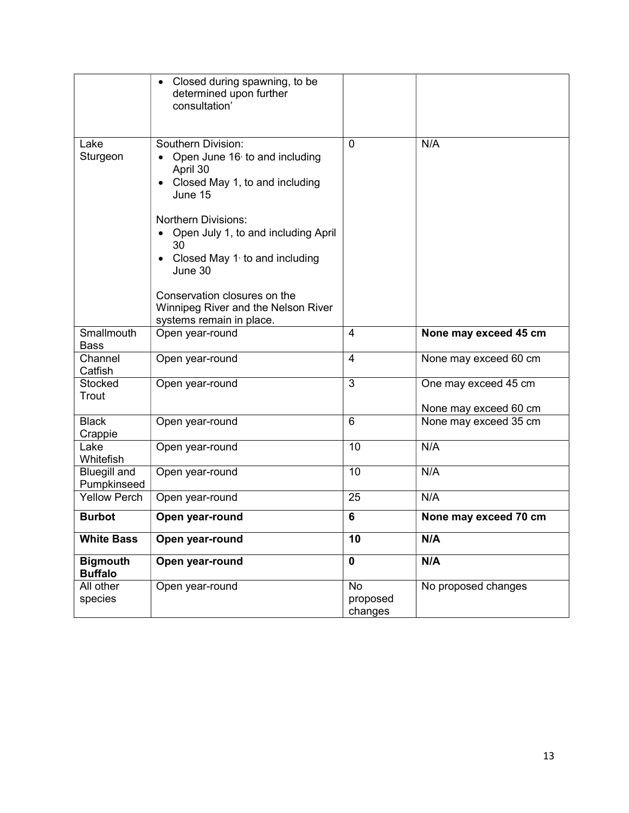|                                    | Closed during spawning, to be<br>determined upon further<br>consultation'                                                                                                                                                                                                                                                                                |                                  |                                               |
|------------------------------------|----------------------------------------------------------------------------------------------------------------------------------------------------------------------------------------------------------------------------------------------------------------------------------------------------------------------------------------------------------|----------------------------------|-----------------------------------------------|
| Lake<br>Sturgeon                   | Southern Division:<br>Open June 16 $\overline{6}$ to and including<br>April 30<br>Closed May 1, to and including<br>June 15<br><b>Northern Divisions:</b><br>Open July 1, to and including April<br>30<br>Closed May $11$ to and including<br>June 30<br>Conservation closures on the<br>Winnipeg River and the Nelson River<br>systems remain in place. | $\Omega$                         | N/A                                           |
| Smallmouth<br><b>Bass</b>          | Open year-round                                                                                                                                                                                                                                                                                                                                          | 4                                | None may exceed 45 cm                         |
| Channel<br>Catfish                 | Open year-round                                                                                                                                                                                                                                                                                                                                          | $\overline{4}$                   | None may exceed 60 cm                         |
| <b>Stocked</b><br>Trout            | Open year-round                                                                                                                                                                                                                                                                                                                                          | 3                                | One may exceed 45 cm<br>None may exceed 60 cm |
| <b>Black</b><br>Crappie            | Open year-round                                                                                                                                                                                                                                                                                                                                          | $6\phantom{1}$                   | None may exceed 35 cm                         |
| Lake<br>Whitefish                  | Open year-round                                                                                                                                                                                                                                                                                                                                          | 10                               | N/A                                           |
| <b>Bluegill and</b><br>Pumpkinseed | Open year-round                                                                                                                                                                                                                                                                                                                                          | 10                               | N/A                                           |
| <b>Yellow Perch</b>                | Open year-round                                                                                                                                                                                                                                                                                                                                          | 25                               | N/A                                           |
| <b>Burbot</b>                      | Open year-round                                                                                                                                                                                                                                                                                                                                          | 6                                | None may exceed 70 cm                         |
| <b>White Bass</b>                  | Open year-round                                                                                                                                                                                                                                                                                                                                          | 10                               | N/A                                           |
| <b>Bigmouth</b><br><b>Buffalo</b>  | Open year-round                                                                                                                                                                                                                                                                                                                                          | $\mathbf 0$                      | N/A                                           |
| All other<br>species               | Open year-round                                                                                                                                                                                                                                                                                                                                          | <b>No</b><br>proposed<br>changes | No proposed changes                           |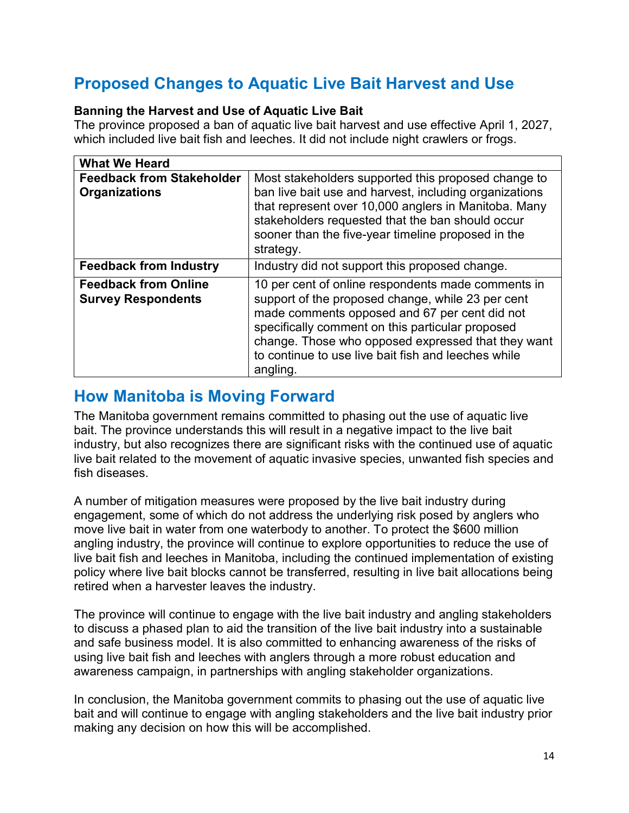### Proposed Changes to Aquatic Live Bait Harvest and Use

### Banning the Harvest and Use of Aquatic Live Bait

The province proposed a ban of aquatic live bait harvest and use effective April 1, 2027, which included live bait fish and leeches. It did not include night crawlers or frogs.

| <b>What We Heard</b>                                     |                                                                                                                                                                                                                                                                                                                                       |
|----------------------------------------------------------|---------------------------------------------------------------------------------------------------------------------------------------------------------------------------------------------------------------------------------------------------------------------------------------------------------------------------------------|
| <b>Feedback from Stakeholder</b><br><b>Organizations</b> | Most stakeholders supported this proposed change to<br>ban live bait use and harvest, including organizations<br>that represent over 10,000 anglers in Manitoba. Many<br>stakeholders requested that the ban should occur<br>sooner than the five-year timeline proposed in the<br>strategy.                                          |
| <b>Feedback from Industry</b>                            | Industry did not support this proposed change.                                                                                                                                                                                                                                                                                        |
| <b>Feedback from Online</b><br><b>Survey Respondents</b> | 10 per cent of online respondents made comments in<br>support of the proposed change, while 23 per cent<br>made comments opposed and 67 per cent did not<br>specifically comment on this particular proposed<br>change. Those who opposed expressed that they want<br>to continue to use live bait fish and leeches while<br>angling. |

### How Manitoba is Moving Forward

The Manitoba government remains committed to phasing out the use of aquatic live bait. The province understands this will result in a negative impact to the live bait industry, but also recognizes there are significant risks with the continued use of aquatic live bait related to the movement of aquatic invasive species, unwanted fish species and fish diseases.

A number of mitigation measures were proposed by the live bait industry during engagement, some of which do not address the underlying risk posed by anglers who move live bait in water from one waterbody to another. To protect the \$600 million angling industry, the province will continue to explore opportunities to reduce the use of live bait fish and leeches in Manitoba, including the continued implementation of existing policy where live bait blocks cannot be transferred, resulting in live bait allocations being retired when a harvester leaves the industry.

The province will continue to engage with the live bait industry and angling stakeholders to discuss a phased plan to aid the transition of the live bait industry into a sustainable and safe business model. It is also committed to enhancing awareness of the risks of using live bait fish and leeches with anglers through a more robust education and awareness campaign, in partnerships with angling stakeholder organizations.

In conclusion, the Manitoba government commits to phasing out the use of aquatic live bait and will continue to engage with angling stakeholders and the live bait industry prior making any decision on how this will be accomplished.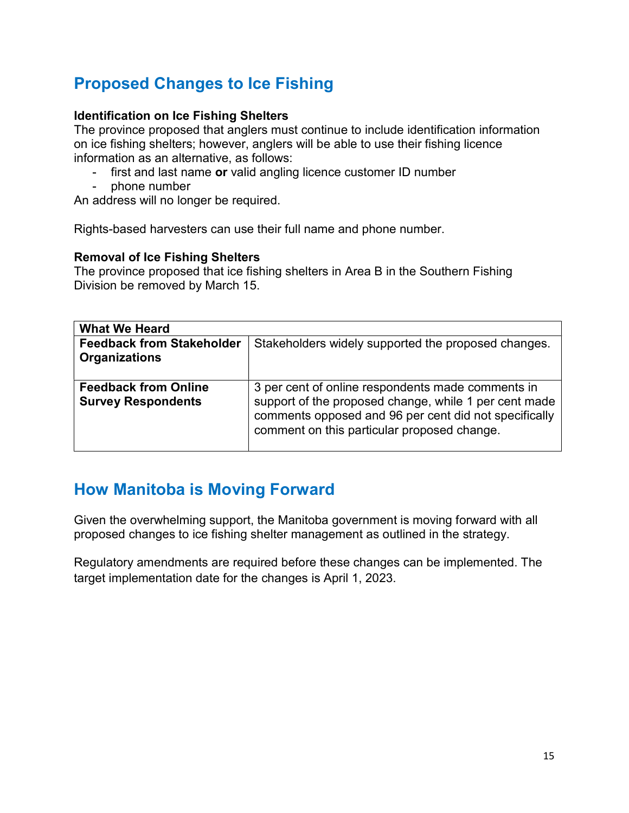## Proposed Changes to Ice Fishing

#### Identification on Ice Fishing Shelters

The province proposed that anglers must continue to include identification information on ice fishing shelters; however, anglers will be able to use their fishing licence information as an alternative, as follows:

- first and last name or valid angling licence customer ID number
- phone number

An address will no longer be required.

Rights-based harvesters can use their full name and phone number.

#### Removal of Ice Fishing Shelters

The province proposed that ice fishing shelters in Area B in the Southern Fishing Division be removed by March 15.

| <b>What We Heard</b>                                     |                                                                                                                                                                                                                    |
|----------------------------------------------------------|--------------------------------------------------------------------------------------------------------------------------------------------------------------------------------------------------------------------|
| <b>Feedback from Stakeholder</b><br><b>Organizations</b> | Stakeholders widely supported the proposed changes.                                                                                                                                                                |
| <b>Feedback from Online</b><br><b>Survey Respondents</b> | 3 per cent of online respondents made comments in<br>support of the proposed change, while 1 per cent made<br>comments opposed and 96 per cent did not specifically<br>comment on this particular proposed change. |

### How Manitoba is Moving Forward

Given the overwhelming support, the Manitoba government is moving forward with all proposed changes to ice fishing shelter management as outlined in the strategy.

Regulatory amendments are required before these changes can be implemented. The target implementation date for the changes is April 1, 2023.